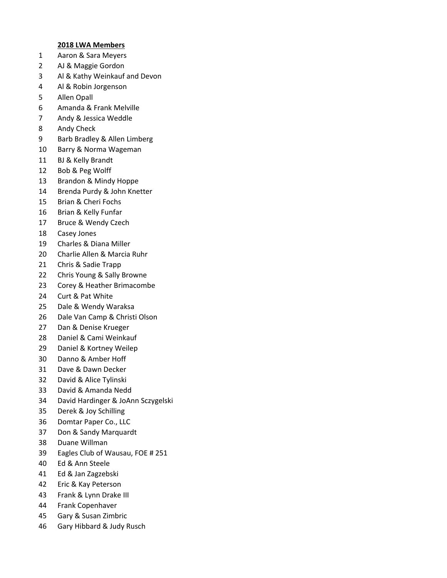## **2018 LWA Members**

- 1 Aaron & Sara Meyers
- 2 AJ & Maggie Gordon
- 3 Al & Kathy Weinkauf and Devon
- 4 Al & Robin Jorgenson
- 5 Allen Opall
- 6 Amanda & Frank Melville
- 7 Andy & Jessica Weddle
- 8 Andy Check
- 9 Barb Bradley & Allen Limberg
- 10 Barry & Norma Wageman
- 11 BJ & Kelly Brandt
- 12 Bob & Peg Wolff
- 13 Brandon & Mindy Hoppe
- 14 Brenda Purdy & John Knetter
- 15 Brian & Cheri Fochs
- 16 Brian & Kelly Funfar
- 17 Bruce & Wendy Czech
- 18 Casey Jones
- 19 Charles & Diana Miller
- 20 Charlie Allen & Marcia Ruhr
- 21 Chris & Sadie Trapp
- 22 Chris Young & Sally Browne
- 23 Corey & Heather Brimacombe
- 24 Curt & Pat White
- 25 Dale & Wendy Waraksa
- 26 Dale Van Camp & Christi Olson
- 27 Dan & Denise Krueger
- 28 Daniel & Cami Weinkauf
- 29 Daniel & Kortney Weilep
- 30 Danno & Amber Hoff
- 31 Dave & Dawn Decker
- 32 David & Alice Tylinski
- 33 David & Amanda Nedd
- 34 David Hardinger & JoAnn Sczygelski
- 35 Derek & Joy Schilling
- 36 Domtar Paper Co., LLC
- 37 Don & Sandy Marquardt
- 38 Duane Willman
- 39 Eagles Club of Wausau, FOE # 251
- 40 Ed & Ann Steele
- 41 Ed & Jan Zagzebski
- 42 Eric & Kay Peterson
- 43 Frank & Lynn Drake III
- 44 Frank Copenhaver
- 45 Gary & Susan Zimbric
- 46 Gary Hibbard & Judy Rusch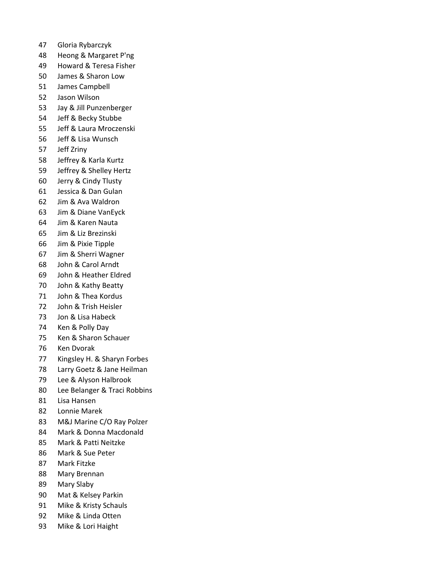- 47 Gloria Rybarczyk
- 48 Heong & Margaret P'ng
- 49 Howard & Teresa Fisher
- 50 James & Sharon Low
- 51 James Campbell
- 52 Jason Wilson
- 53 Jay & Jill Punzenberger
- 54 Jeff & Becky Stubbe
- 55 Jeff & Laura Mroczenski
- 56 Jeff & Lisa Wunsch
- 57 Jeff Zriny
- 58 Jeffrey & Karla Kurtz
- 59 Jeffrey & Shelley Hertz
- 60 Jerry & Cindy Tlusty
- 61 Jessica & Dan Gulan
- 62 Jim & Ava Waldron
- 63 Jim & Diane VanEyck
- 64 Jim & Karen Nauta
- 65 Jim & Liz Brezinski
- 66 Jim & Pixie Tipple
- 67 Jim & Sherri Wagner
- 68 John & Carol Arndt
- 69 John & Heather Eldred
- 70 John & Kathy Beatty
- 71 John & Thea Kordus
- 72 John & Trish Heisler
- 73 Jon & Lisa Habeck
- 74 Ken & Polly Day
- 75 Ken & Sharon Schauer
- 76 Ken Dvorak
- 77 Kingsley H. & Sharyn Forbes
- 78 Larry Goetz & Jane Heilman
- 79 Lee & Alyson Halbrook
- 80 Lee Belanger & Traci Robbins
- 81 Lisa Hansen
- 82 Lonnie Marek
- 83 M&J Marine C/O Ray Polzer
- 84 Mark & Donna Macdonald
- 85 Mark & Patti Neitzke
- 86 Mark & Sue Peter
- 87 Mark Fitzke
- 88 Mary Brennan
- 89 Mary Slaby
- 90 Mat & Kelsey Parkin
- 91 Mike & Kristy Schauls
- 92 Mike & Linda Otten
- 93 Mike & Lori Haight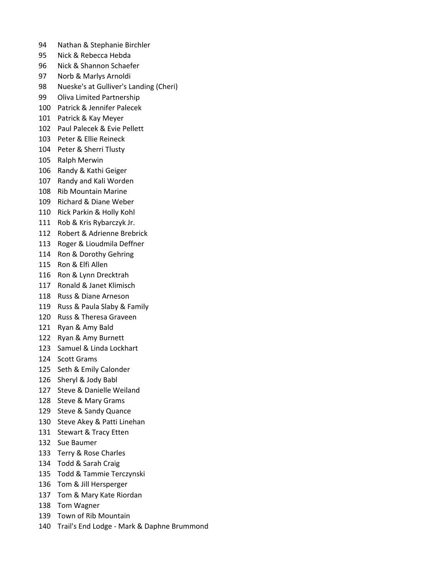- 94 Nathan & Stephanie Birchler
- 95 Nick & Rebecca Hebda
- 96 Nick & Shannon Schaefer
- 97 Norb & Marlys Arnoldi
- 98 Nueske's at Gulliver's Landing (Cheri)
- 99 Oliva Limited Partnership
- 100 Patrick & Jennifer Palecek
- 101 Patrick & Kay Meyer
- 102 Paul Palecek & Evie Pellett
- 103 Peter & Ellie Reineck
- 104 Peter & Sherri Tlusty
- 105 Ralph Merwin
- 106 Randy & Kathi Geiger
- 107 Randy and Kali Worden
- 108 Rib Mountain Marine
- 109 Richard & Diane Weber
- 110 Rick Parkin & Holly Kohl
- 111 Rob & Kris Rybarczyk Jr.
- 112 Robert & Adrienne Brebrick
- 113 Roger & Lioudmila Deffner
- 114 Ron & Dorothy Gehring
- 115 Ron & Elfi Allen
- 116 Ron & Lynn Drecktrah
- 117 Ronald & Janet Klimisch
- 118 Russ & Diane Arneson
- 119 Russ & Paula Slaby & Family
- 120 Russ & Theresa Graveen
- 121 Ryan & Amy Bald
- 122 Ryan & Amy Burnett
- 123 Samuel & Linda Lockhart
- 124 Scott Grams
- 125 Seth & Emily Calonder
- 126 Sheryl & Jody Babl
- 127 Steve & Danielle Weiland
- 128 Steve & Mary Grams
- 129 Steve & Sandy Quance
- 130 Steve Akey & Patti Linehan
- 131 Stewart & Tracy Etten
- 132 Sue Baumer
- 133 Terry & Rose Charles
- 134 Todd & Sarah Craig
- 135 Todd & Tammie Terczynski
- 136 Tom & Jill Hersperger
- 137 Tom & Mary Kate Riordan
- 138 Tom Wagner
- 139 Town of Rib Mountain
- 140 Trail's End Lodge Mark & Daphne Brummond